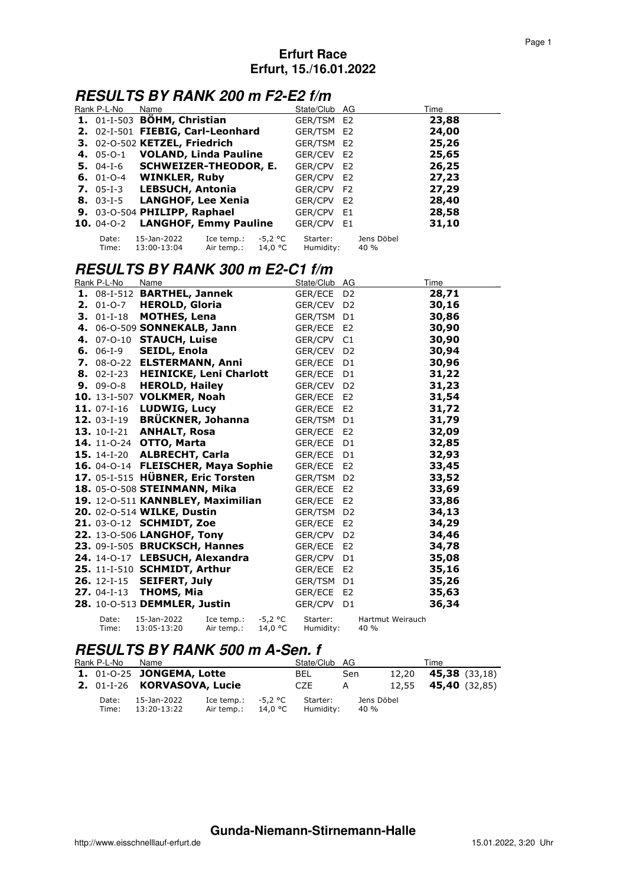### **RESULTS BY RANK 200 m F2-E2 f/m**

| Rank P-L-No             | Name                              |                          |                    | State/Club AG         |                    | Time  |
|-------------------------|-----------------------------------|--------------------------|--------------------|-----------------------|--------------------|-------|
|                         | 1. 01-I-503 BÖHM, Christian       |                          |                    | GER/TSM E2            |                    | 23,88 |
|                         | 2. 02-I-501 FIEBIG, Carl-Leonhard |                          |                    | GER/TSM E2            |                    | 24,00 |
|                         | 3. 02-0-502 KETZEL, Friedrich     |                          |                    | GER/TSM E2            |                    | 25,26 |
|                         | 4. 05-0-1 VOLAND, Linda Pauline   |                          |                    | GER/CEV E2            |                    | 25,65 |
|                         | 5. 04-I-6 SCHWEIZER-THEODOR, E.   |                          |                    | GER/CPV E2            |                    | 26,25 |
|                         | 6. 01-0-4 WINKLER, Ruby           |                          |                    | GER/CPV E2            |                    | 27,23 |
|                         | 7. 05-I-3 LEBSUCH, Antonia        |                          |                    | GER/CPV F2            |                    | 27,29 |
|                         | 8. 03-I-5 LANGHOF, Lee Xenia      |                          |                    | GER/CPV E2            |                    | 28,40 |
|                         | 9. 03-0-504 PHILIPP, Raphael      |                          |                    | GER/CPV E1            |                    | 28,58 |
| <b>10.</b> $04 - 0 - 2$ | <b>LANGHOF, Emmy Pauline</b>      |                          |                    | GER/CPV E1            |                    | 31,10 |
| Date:<br>Time:          | 15-Jan-2022<br>13:00-13:04        | Ice temp.:<br>Air temp.: | -5.2 °C<br>14,0 °C | Starter:<br>Humidity: | Jens Döbel<br>40 % |       |

# **RESULTS BY RANK 300 m E2-C1 f/m**

| Rank P-L-No              | Name                               |                          |                      | State/Club AG         |                |                          | Time  |
|--------------------------|------------------------------------|--------------------------|----------------------|-----------------------|----------------|--------------------------|-------|
|                          | 1. 08-I-512 BARTHEL, Jannek        |                          |                      | GER/ECE D2            |                |                          | 28,71 |
| $2.01 - 0 - 7$           | <b>HEROLD, Gloria</b>              |                          |                      | GER/CEV               | D <sub>2</sub> |                          | 30,16 |
| $3.01-I-18$              | <b>MOTHES, Lena</b>                |                          |                      | GER/TSM D1            |                |                          | 30,86 |
|                          | 4. 06-0-509 SONNEKALB, Jann        |                          |                      | GER/ECE E2            |                |                          | 30,90 |
| 4. 07-0-10               | <b>STAUCH, Luise</b>               |                          |                      | GER/CPV               | C1             |                          | 30,90 |
| <b>6.</b> 06-1-9         | <b>SEIDL, Enola</b>                |                          |                      | GER/CEV D2            |                |                          | 30,94 |
| 7. 08-0-22               | <b>ELSTERMANN, Anni</b>            |                          |                      | GER/ECE               | D <sub>1</sub> |                          | 30,96 |
| $8.02-I-23$              | <b>HEINICKE, Leni Charlott</b>     |                          |                      | GER/ECE D1            |                |                          | 31,22 |
| $9.09 - 0 - 8$           | <b>HEROLD, Hailey</b>              |                          |                      | GER/CEV D2            |                |                          | 31,23 |
|                          | 10. 13-I-507 VOLKMER, Noah         |                          |                      | GER/ECE E2            |                |                          | 31,54 |
| <b>11.</b> $07 - 1 - 16$ | <b>LUDWIG, Lucy</b>                |                          |                      | GER/ECE E2            |                |                          | 31,72 |
| 12. 03-I-19              | <b>BRÜCKNER, Johanna</b>           |                          |                      | GER/TSM               | D <sub>1</sub> |                          | 31,79 |
| <b>13.</b> 10-I-21       | <b>ANHALT, Rosa</b>                |                          |                      | GER/ECE E2            |                |                          | 32,09 |
| 14. 11-0-24              | OTTO, Marta                        |                          |                      | GER/ECE D1            |                |                          | 32,85 |
| <b>15.</b> 14-I-20       | <b>ALBRECHT, Carla</b>             |                          |                      | GER/ECE D1            |                |                          | 32,93 |
|                          | 16. 04-0-14 FLEISCHER, Maya Sophie |                          |                      | GER/ECE E2            |                |                          | 33,45 |
|                          | 17. 05-I-515 HÜBNER, Eric Torsten  |                          |                      | GER/TSM D2            |                |                          | 33,52 |
|                          | 18. 05-0-508 STEINMANN, Mika       |                          |                      | GER/ECE E2            |                |                          | 33,69 |
|                          | 19. 12-0-511 KANNBLEY, Maximilian  |                          |                      | GER/ECE E2            |                |                          | 33,86 |
|                          | 20. 02-0-514 WILKE, Dustin         |                          |                      | GER/TSM D2            |                |                          | 34,13 |
|                          | 21. 03-0-12 SCHMIDT, Zoe           |                          |                      | GER/ECE E2            |                |                          | 34,29 |
|                          | 22. 13-0-506 LANGHOF, Tony         |                          |                      | GER/CPV               | D <sub>2</sub> |                          | 34,46 |
|                          | 23. 09-I-505 BRUCKSCH, Hannes      |                          |                      | GER/ECE E2            |                |                          | 34,78 |
|                          | 24. 14-0-17 LEBSUCH, Alexandra     |                          |                      | GER/CPV               | D <sub>1</sub> |                          | 35,08 |
|                          | 25. 11-I-510 SCHMIDT, Arthur       |                          |                      | GER/ECE E2            |                |                          | 35,16 |
| <b>26.</b> 12-I-15       | <b>SEIFERT, July</b>               |                          |                      | GER/TSM D1            |                |                          | 35,26 |
| $27.04-I-13$             | <b>THOMS, Mia</b>                  |                          |                      | GER/ECE               | E <sub>2</sub> |                          | 35,63 |
|                          | 28. 10-0-513 DEMMLER, Justin       |                          |                      | GER/CPV               | D <sub>1</sub> |                          | 36,34 |
| Date:<br>Time:           | 15-Jan-2022<br>13:05-13:20         | Ice temp.:<br>Air temp.: | $-5,2$ °C<br>14,0 °C | Starter:<br>Humidity: |                | Hartmut Weirauch<br>40 % |       |

#### **RESULTS BY RANK 500 m A-Sen. f**

| Rank P-L-No    | Name                                    |                                    |         | State/Club AG         |                    |       | Time                       |  |
|----------------|-----------------------------------------|------------------------------------|---------|-----------------------|--------------------|-------|----------------------------|--|
|                | <b>1.</b> 01-0-25 <b>JONGEMA, Lotte</b> |                                    |         | BEL.                  | Sen                | 12,20 | <b>45,38</b> (33,18)       |  |
|                | 2. 01-I-26 KORVASOVA, Lucie             |                                    |         | CZE                   | A                  |       | 12,55 <b>45,40</b> (32,85) |  |
| Date:<br>Time: | 15-Jan-2022<br>13:20-13:22              | Ice temp.: $-5.2$ °C<br>Air temp.: | 14.0 °C | Starter:<br>Humidity: | Jens Döbel<br>40 % |       |                            |  |

#### **Gunda-Niemann-Stirnemann-Halle**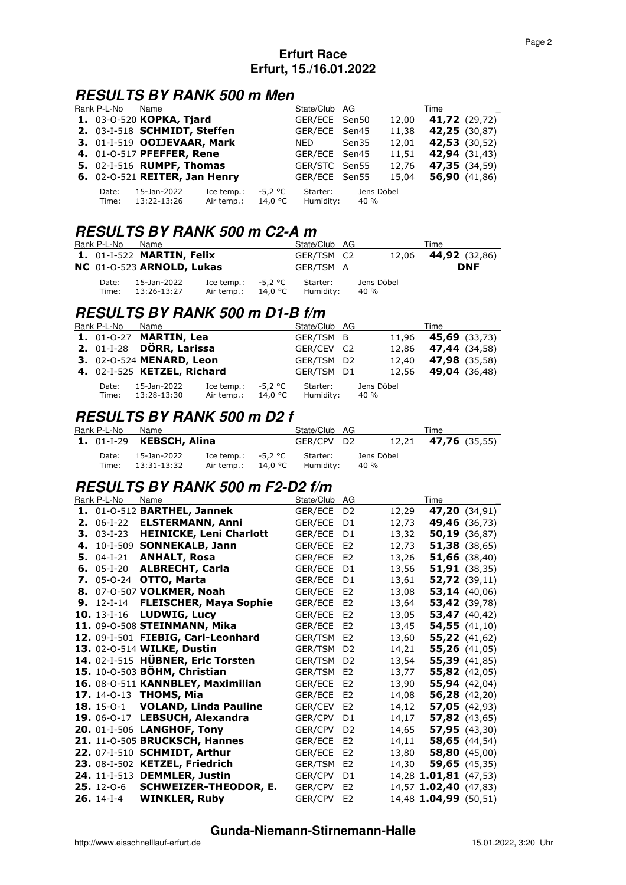### **RESULTS BY RANK 500 m Men**

| Rank P-L-No    | Name                          |                          |                      | State/Club AG         |                    |       | Time                 |
|----------------|-------------------------------|--------------------------|----------------------|-----------------------|--------------------|-------|----------------------|
|                | 1. 03-0-520 KOPKA, Tjard      |                          |                      | GER/ECE Sen50         |                    | 12,00 | <b>41,72</b> (29,72) |
|                | 2. 03-I-518 SCHMIDT, Steffen  |                          |                      | GER/ECE Sen45         |                    | 11,38 | 42,25 (30,87)        |
|                | 3. 01-I-519 OOIJEVAAR, Mark   |                          |                      | NED.                  | Sen35              | 12,01 | <b>42,53</b> (30,52) |
|                | 4. 01-0-517 PFEFFER, Rene     |                          |                      | GER/ECE Sen45         |                    | 11,51 | 42,94 (31,43)        |
|                | 5. 02-I-516 RUMPF, Thomas     |                          |                      | GER/STC Sen55         |                    | 12,76 | 47,35 (34,59)        |
|                | 6. 02-0-521 REITER, Jan Henry |                          |                      | GER/ECE Sen55         |                    | 15,04 | 56,90 $(41,86)$      |
| Date:<br>Time: | 15-Jan-2022<br>13:22-13:26    | Ice temp.:<br>Air temp.: | $-5.2 °C$<br>14,0 °C | Starter:<br>Humidity: | Jens Döbel<br>40 % |       |                      |

### **RESULTS BY RANK 500 m C2-A m**

| Rank P-L-No    | Name                                    |                                    |         | State/Club AG         |                    | Time                       |
|----------------|-----------------------------------------|------------------------------------|---------|-----------------------|--------------------|----------------------------|
|                | <b>1.</b> 01-I-522 <b>MARTIN, Felix</b> |                                    |         | GER/TSM C2            |                    | 12,06 <b>44,92</b> (32,86) |
|                | NC 01-0-523 ARNOLD, Lukas               |                                    |         | GER/TSM A             |                    | <b>DNF</b>                 |
| Date:<br>Time: | 15-Jan-2022<br>13:26-13:27              | Ice temp.: $-5.2$ °C<br>Air temp.: | 14,0 °C | Starter:<br>Humidity: | Jens Döbel<br>40 % |                            |

### **RESULTS BY RANK 500 m D1-B f/m**

| Rank P-L-No    | Name                                 |                          |                    | State/Club AG         |                    | Time                 |
|----------------|--------------------------------------|--------------------------|--------------------|-----------------------|--------------------|----------------------|
|                | <b>1.</b> 01-0-27 <b>MARTIN, Lea</b> |                          |                    | GER/TSM B             | 11.96              | <b>45,69</b> (33,73) |
|                | 2. 01-I-28 DÖRR, Larissa             |                          |                    | GER/CEV C2            | 12.86              | <b>47,44</b> (34,58) |
|                | 3. 02-0-524 MENARD, Leon             |                          |                    | GER/TSM D2            | 12,40              | <b>47,98</b> (35,58) |
|                | 4. 02-I-525 KETZEL, Richard          |                          |                    | GER/TSM D1            | 12.56              | <b>49,04</b> (36,48) |
| Date:<br>Time: | 15-Jan-2022<br>13:28-13:30           | Ice temp.:<br>Air temp.: | -5.2 °C<br>14,0 °C | Starter:<br>Humidity: | Jens Döbel<br>40 % |                      |

### **RESULTS BY RANK 500 m D2 f**

| Rank P-L-No    | Name                       |                                    |         | State/Club AG         |                    | Time                       |
|----------------|----------------------------|------------------------------------|---------|-----------------------|--------------------|----------------------------|
|                | $1.$ 01-I-29 KEBSCH, Alina |                                    |         | GER/CPV D2            |                    | 12,21 <b>47,76</b> (35,55) |
| Date:<br>Time: | 15-Jan-2022<br>13:31-13:32 | Ice temp.: $-5.2$ °C<br>Air temp.: | 14,0 °C | Starter:<br>Humidity: | Jens Döbel<br>40 % |                            |

# **RESULTS BY RANK 500 m F2-D2 f/m**

|    | Rank P-L-No         | Name                               | State/Club     | AG             |       | Time                  |
|----|---------------------|------------------------------------|----------------|----------------|-------|-----------------------|
|    |                     | 1. 01-0-512 BARTHEL, Jannek        | GER/ECE        | D <sub>2</sub> | 12,29 | 47,20 (34,91)         |
|    | <b>2.</b> $06-I-22$ | <b>ELSTERMANN, Anni</b>            | GER/ECE        | D <sub>1</sub> | 12,73 | 49,46 (36,73)         |
|    | $3.03 - 1 - 23$     | <b>HEINICKE, Leni Charlott</b>     | GER/ECE        | D <sub>1</sub> | 13,32 | $50,19$ (36,87)       |
|    |                     | 4. 10-I-509 SONNEKALB, Jann        | GER/ECE        | E <sub>2</sub> | 12,73 | <b>51,38</b> (38,65)  |
|    | $5.04-I-21$         | <b>ANHALT, Rosa</b>                | GER/ECE        | E <sub>2</sub> | 13,26 | $51,66$ (38,40)       |
|    | 6. $05-I-20$        | <b>ALBRECHT, Carla</b>             | <b>GER/ECE</b> | D <sub>1</sub> | 13,56 | 51,91(38,35)          |
| 7. |                     | 05-0-24 OTTO, Marta                | GER/ECE        | D <sub>1</sub> | 13,61 | $52,72$ (39,11)       |
|    |                     | 8. 07-0-507 VOLKMER, Noah          | GER/ECE        | E <sub>2</sub> | 13,08 | 53,14(40,06)          |
|    |                     | 9. 12-I-14 FLEISCHER, Maya Sophie  | GER/ECE        | E <sub>2</sub> | 13,64 | 53,42 (39,78)         |
|    | <b>10.</b> 13-I-16  | <b>LUDWIG, Lucy</b>                | GER/ECE        | E <sub>2</sub> | 13,05 | 53,47 $(40, 42)$      |
|    |                     | 11. 09-0-508 STEINMANN, Mika       | <b>GER/ECE</b> | E <sub>2</sub> | 13,45 | 54,55(41,10)          |
|    |                     | 12. 09-I-501 FIEBIG, Carl-Leonhard | GER/TSM        | E <sub>2</sub> | 13,60 | $55,22$ (41,62)       |
|    |                     | 13. 02-0-514 WILKE, Dustin         | GER/TSM        | D <sub>2</sub> | 14,21 | 55,26(41,05)          |
|    |                     | 14. 02-I-515 HÜBNER, Eric Torsten  | GER/TSM        | D <sub>2</sub> | 13,54 | 55,39 (41,85)         |
|    |                     | 15. 10-0-503 BÖHM, Christian       | <b>GER/TSM</b> | E <sub>2</sub> | 13,77 | $55,82$ (42,05)       |
|    |                     | 16. 08-0-511 KANNBLEY, Maximilian  | GER/ECE        | E <sub>2</sub> | 13,90 | 55,94(42,04)          |
|    |                     | 17. 14-0-13 THOMS, Mia             | GER/ECE        | E <sub>2</sub> | 14,08 | 56,28(42,20)          |
|    |                     | 18. 15-0-1 VOLAND, Linda Pauline   | GER/CEV        | E <sub>2</sub> | 14,12 | $57,05$ (42,93)       |
|    |                     | 19. 06-0-17 LEBSUCH, Alexandra     | GER/CPV        | D <sub>1</sub> | 14,17 | $57,82$ (43,65)       |
|    |                     | 20. 01-I-506 LANGHOF, Tony         | GER/CPV        | D <sub>2</sub> | 14,65 | 57,95(43,30)          |
|    |                     | 21. 11-0-505 BRUCKSCH, Hannes      | GER/ECE        | E <sub>2</sub> | 14,11 | 58,65 $(44,54)$       |
|    |                     | 22. 07-I-510 SCHMIDT, Arthur       | GER/ECE        | E <sub>2</sub> | 13,80 | 58,80(45,00)          |
|    |                     | 23. 08-I-502 KETZEL, Friedrich     | GER/TSM        | E <sub>2</sub> | 14,30 | $59,65$ (45,35)       |
|    |                     | 24. 11-I-513 DEMMLER, Justin       | GER/CPV        | D <sub>1</sub> |       | 14,28 1.01,81 (47,53) |
|    | 25. 12-0-6          | <b>SCHWEIZER-THEODOR, E.</b>       | GER/CPV        | E <sub>2</sub> |       | 14,57 1.02,40 (47,83) |
|    | $26.14-I-4$         | <b>WINKLER, Ruby</b>               | GER/CPV        | E <sub>2</sub> |       | 14,48 1.04,99 (50,51) |

#### **Gunda-Niemann-Stirnemann-Halle**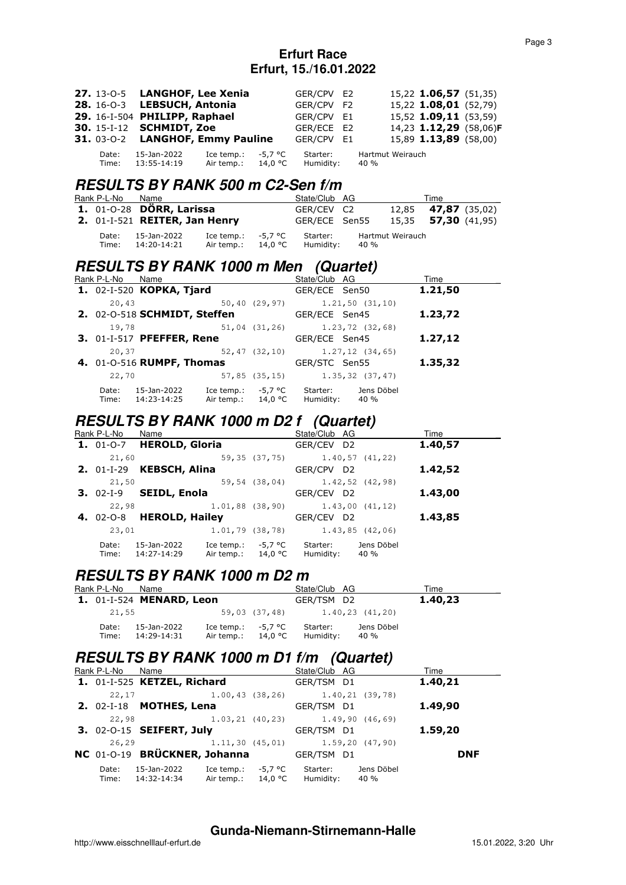|                | 27. 13-0-5 LANGHOF, Lee Xenia           |                                           |         | GER/CPV E2            |                          | 15,22 1.06,57 (51,35)  |  |
|----------------|-----------------------------------------|-------------------------------------------|---------|-----------------------|--------------------------|------------------------|--|
|                | 28. 16-0-3 LEBSUCH, Antonia             |                                           |         | GER/CPV F2            |                          | 15,22 1.08,01 (52,79)  |  |
|                | 29. 16-1-504 PHILIPP, Raphael           |                                           |         | GER/CPV E1            |                          | 15,52 1.09,11 (53,59)  |  |
|                | <b>30.</b> 15-I-12 <b>SCHMIDT</b> , Zoe |                                           |         | GER/ECE E2            |                          | 14,23 1.12,29 (58,06)F |  |
|                | 31. 03-0-2 LANGHOF, Emmy Pauline        |                                           |         | GER/CPV E1            |                          | 15,89 1.13,89 (58,00)  |  |
| Date:<br>Time: | 15-Jan-2022<br>13:55-14:19              | Ice temp.:<br>Air temp.: $14.0 \degree C$ | -5.7 °C | Starter:<br>Humidity: | Hartmut Weirauch<br>40 % |                        |  |

### **RESULTS BY RANK 500 m C2-Sen f/m**

| Rank P-L-No    | Name                          |                                              | State/Club AG         |      |                  | Time                       |  |
|----------------|-------------------------------|----------------------------------------------|-----------------------|------|------------------|----------------------------|--|
|                | 1. 01-0-28 DÖRR, Larissa      |                                              | GER/CEV C2            |      |                  | 12,85 <b>47,87</b> (35,02) |  |
|                | 2. 01-I-521 REITER, Jan Henry |                                              | GER/ECE Sen55         |      |                  | 15,35 <b>57,30</b> (41,95) |  |
| Date:<br>Time: | 15-Jan-2022<br>14:20-14:21    | Ice temp.: $-5.7$ °C<br>Air temp.: $14.0 °C$ | Starter:<br>Humidity: | 40 % | Hartmut Weirauch |                            |  |

# **RESULTS BY RANK 1000 m Men (Quartet)**

| Rank P-L-No    | Name                         |                          |                    | State/Club AG         |                    | Time    |
|----------------|------------------------------|--------------------------|--------------------|-----------------------|--------------------|---------|
|                | 1. 02-I-520 KOPKA, Tjard     |                          |                    | GER/ECE Sen50         |                    | 1.21,50 |
| 20,43          |                              |                          | $50, 40$ (29,97)   |                       | $1.21, 50$ (31,10) |         |
|                | 2. 02-0-518 SCHMIDT, Steffen |                          |                    | GER/ECE Sen45         |                    | 1.23,72 |
| 19,78          |                              |                          | $51,04$ $(31,26)$  |                       | $1,23,72$ (32,68)  |         |
|                | 3. 01-I-517 PFEFFER, Rene    |                          |                    | GER/ECE Sen45         |                    | 1.27,12 |
| 20,37          |                              |                          | $52, 47$ (32,10)   |                       | $1.27, 12$ (34,65) |         |
|                | 4. 01-0-516 RUMPF, Thomas    |                          |                    | GER/STC Sen55         |                    | 1.35,32 |
| 22,70          |                              |                          | 57,85(35,15)       |                       | $1.35, 32$ (37,47) |         |
| Date:<br>Time: | 15-Jan-2022<br>14:23-14:25   | Ice temp.:<br>Air temp.: | -5,7 °C<br>14,0 °C | Starter:<br>Humidity: | Jens Döbel<br>40 % |         |

### **RESULTS BY RANK 1000 m D2 f (Quartet)**

| Rank P-L-No         | Name                       |                          |                    | State/Club AG                 |                    | Time    |  |
|---------------------|----------------------------|--------------------------|--------------------|-------------------------------|--------------------|---------|--|
| $1.01 - 0 - 7$      | <b>HEROLD, Gloria</b>      |                          |                    | GER/CEV D2                    |                    | 1.40,57 |  |
| 21,60               |                            |                          | 59,35 (37,75)      |                               | $1.40, 57$ (41,22) |         |  |
| <b>2.</b> $01-I-29$ | <b>KEBSCH, Alina</b>       |                          |                    | GER/CPV D2                    |                    | 1.42,52 |  |
| 21,50               |                            |                          |                    | 59,54 (38,04) 1.42,52 (42,98) |                    |         |  |
| $3.02 - 1 - 9$      | <b>SEIDL, Enola</b>        |                          |                    | GER/CEV D2                    |                    | 1.43,00 |  |
| 22,98               |                            |                          | $1.01,88$ (38,90)  |                               | 1.43,00(41,12)     |         |  |
| <b>4.</b> 02-0-8    | <b>HEROLD, Hailey</b>      |                          |                    | GER/CEV D2                    |                    | 1.43,85 |  |
| 23,01               |                            | $1.01, 79$ (38,78)       |                    |                               | $1.43, 85$ (42,06) |         |  |
| Date:<br>Time:      | 15-Jan-2022<br>14:27-14:29 | Ice temp.:<br>Air temp.: | -5,7 °C<br>14,0 °C | Starter:<br>Humidity:         | Jens Döbel<br>40 % |         |  |

### **RESULTS BY RANK 1000 m D2 m**

| Rank P-L-No    | Name                                   |                      |               | State/Club AG                              |                    | Time    |  |
|----------------|----------------------------------------|----------------------|---------------|--------------------------------------------|--------------------|---------|--|
|                | <b>1.</b> 01-I-524 <b>MENARD, Leon</b> |                      |               | GER/TSM D2                                 |                    | 1.40,23 |  |
| 21,55          |                                        |                      | 59,03 (37,48) | 1.40.23 (41.20)                            |                    |         |  |
| Date:<br>Time: | 15-Jan-2022<br>14:29-14:31             | Ice temp.: $-5.7$ °C |               | Starter:<br>Air temp.: $14.0 °C$ Humidity: | Jens Döbel<br>40 % |         |  |

### **RESULTS BY RANK 1000 m D1 f/m (Quartet)**

| Rank P-L-No Name |                                                                                          | State/Club AG |                                         | Time       |
|------------------|------------------------------------------------------------------------------------------|---------------|-----------------------------------------|------------|
|                  | 1. 01-I-525 KETZEL, Richard                                                              | GER/TSM D1    |                                         | 1.40,21    |
| 22,17            |                                                                                          |               | $1.00, 43$ (38,26) $1.40, 21$ (39,78)   |            |
|                  | <b>2.</b> $02-I-18$ <b>MOTHES, Lena</b>                                                  | GER/TSM D1    |                                         | 1.49,90    |
| 22,98            |                                                                                          |               | $1.03, 21$ (40, 23) $1.49, 90$ (46, 69) |            |
|                  | 3. 02-0-15 SEIFERT, July                                                                 | GER/TSM D1    |                                         | 1.59,20    |
| 26,29            |                                                                                          |               | $1.11, 30$ (45,01) $1.59, 20$ (47,90)   |            |
|                  | NC 01-0-19 BRÜCKNER, Johanna                                                             | GER/TSM D1    |                                         | <b>DNF</b> |
| Date:            | Ice temp.: $-5.7$ °C<br>15-Jan-2022<br>Air temp.: 14,0 °C Humidity:<br>Time: 14:32-14:34 | Starter:      | Jens Döbel<br>40 %                      |            |

#### **Gunda-Niemann-Stirnemann-Halle**